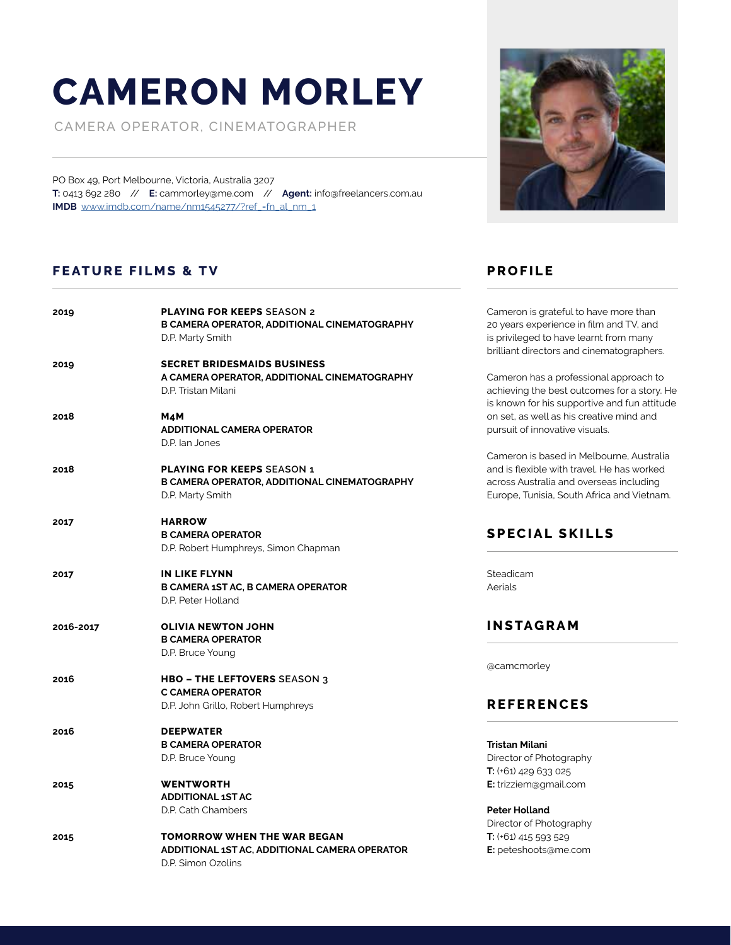# **CAMERON MORLEY**

CAMERA OPERATOR, CINEMATOGRAPHER

PO Box 49, Port Melbourne, Victoria, Australia 3207 **T:** 0413 692 280 // **E:** cammorley@me.com // **Agent:** info@freelancers.com.au **IMDB** www.imdb.com/name/nm1545277/?ref\_=fn\_al\_nm\_1

# **FEATURE FILMS & TV PROFILE**

| 2019      | <b>PLAYING FOR KEEPS SEASON 2</b><br>B CAMERA OPERATOR, ADDITIONAL CINEMATOGRAPHY<br>D.P. Marty Smith        |
|-----------|--------------------------------------------------------------------------------------------------------------|
| 2019      | <b>SECRET BRIDESMAIDS BUSINESS</b><br>A CAMERA OPERATOR, ADDITIONAL CINEMATOGRAPHY<br>D.P. Tristan Milani    |
| 2018      | M4M<br><b>ADDITIONAL CAMERA OPERATOR</b><br>D.P. lan Jones                                                   |
| 2018      | <b>PLAYING FOR KEEPS SEASON 1</b><br><b>B CAMERA OPERATOR, ADDITIONAL CINEMATOGRAPHY</b><br>D.P. Marty Smith |
| 2017      | <b>HARROW</b><br><b>B CAMERA OPERATOR</b><br>D.P. Robert Humphreys, Simon Chapman                            |
| 2017      | <b>IN LIKE FLYNN</b><br><b>B CAMERA 1ST AC, B CAMERA OPERATOR</b><br>D.P. Peter Holland                      |
| 2016-2017 | <b>OLIVIA NEWTON JOHN</b><br><b>B CAMERA OPERATOR</b><br>D.P. Bruce Young                                    |
| 2016      | <b>HBO - THE LEFTOVERS SEASON 3</b><br><b>C CAMERA OPERATOR</b><br>D.P. John Grillo, Robert Humphreys        |
| 2016      | <b>DEEPWATER</b><br><b>B CAMERA OPERATOR</b><br>D.P. Bruce Young                                             |
| 2015      | <b>WENTWORTH</b><br><b>ADDITIONAL 1ST AC</b><br>D.P. Cath Chambers                                           |
| 2015      | <b>TOMORROW WHEN THE WAR BEGAN</b><br>ADDITIONAL 1ST AC, ADDITIONAL CAMERA OPERATOR<br>D.P. Simon Ozolins    |



20 years experience in film and TV, and is privileged to have learnt from many brilliant directors and cinematographers. Cameron has a professional approach to achieving the best outcomes for a story. He is known for his supportive and fun attitude

on set, as well as his creative mind and

Cameron is grateful to have more than

Cameron is based in Melbourne, Australia and is flexible with travel. He has worked across Australia and overseas including Europe, Tunisia, South Africa and Vietnam.

# **SPECIAL SKILLS**

pursuit of innovative visuals.

Steadicam Aerials

# **INSTAGRAM**

@camcmorley

#### **REFERENCES**

| Tristan Milani                |
|-------------------------------|
| Director of Photography       |
| <b>T:</b> $(+61)$ 429 633 025 |
| E: trizziem@gmail.com         |
|                               |

**Peter Holland** Director of Photography **T:** (+61) 415 593 529 **E:** peteshoots@me.com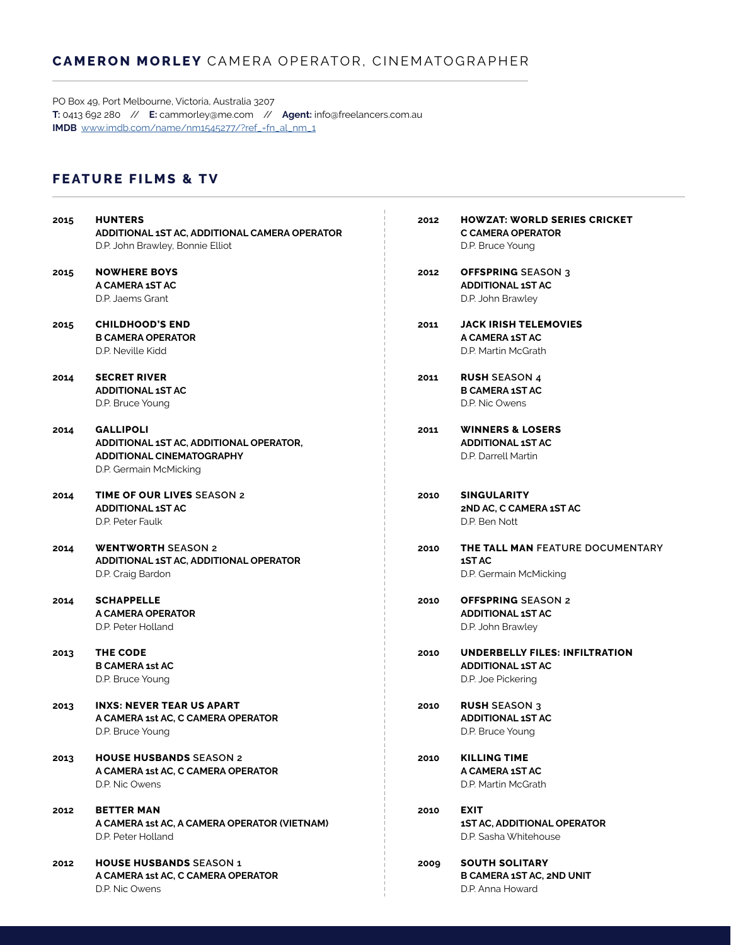#### **CAMERON MORLEY** CAMERA OPERATOR, CINEMATOGRAPHER

PO Box 49, Port Melbourne, Victoria, Australia 3207 **T:** 0413 692 280 // **E:** cammorley@me.com // **Agent:** info@freelancers.com.au **IMDB** www.imdb.com/name/nm1545277/?ref\_=fn\_al\_nm\_1

### **FEATURE FILMS & TV**

| <b>NOWHERE BOYS</b><br><b>OFFSPRING SEASON 3</b><br>2015<br>2012<br>A CAMERA 1ST AC<br><b>ADDITIONAL 1ST AC</b><br>D.P. Jaems Grant<br>D.P. John Brawley<br><b>JACK IRISH TELEMOVIES</b><br><b>CHILDHOOD'S END</b><br>2011<br>2015<br><b>B CAMERA OPERATOR</b><br>A CAMERA 1ST AC<br>D.P. Neville Kidd<br>D.P. Martin McGrath<br><b>SECRET RIVER</b><br><b>RUSH SEASON 4</b><br>2014<br>2011<br><b>ADDITIONAL 1ST AC</b><br><b>B CAMERA 1ST AC</b><br>D.P. Bruce Young<br>D.P. Nic Owens<br><b>GALLIPOLI</b><br><b>WINNERS &amp; LOSERS</b><br>2014<br>2011<br><b>ADDITIONAL 1ST AC</b><br>ADDITIONAL 1ST AC, ADDITIONAL OPERATOR,<br>D.P. Darrell Martin<br><b>ADDITIONAL CINEMATOGRAPHY</b><br>D.P. Germain McMicking<br><b>TIME OF OUR LIVES SEASON 2</b><br><b>SINGULARITY</b><br>2014<br>2010<br><b>ADDITIONAL 1ST AC</b><br>2ND AC, C CAMERA 1ST AC<br>D.P. Peter Faulk<br>D.P. Ben Nott<br><b>WENTWORTH SEASON 2</b><br>2014<br>2010<br>ADDITIONAL 1ST AC, ADDITIONAL OPERATOR<br>1ST AC<br>D.P. Craig Bardon<br>D.P. Germain McMicking<br><b>SCHAPPELLE</b><br><b>OFFSPRING SEASON 2</b><br>2010<br>2014<br>A CAMERA OPERATOR<br><b>ADDITIONAL 1ST AC</b><br>D.P. Peter Holland<br>D.P. John Brawley<br><b>THE CODE</b><br>2013<br>2010<br><b>B CAMERA 1st AC</b><br><b>ADDITIONAL 1ST AC</b><br>D.P. Bruce Young<br>D.P. Joe Pickering<br><b>INXS: NEVER TEAR US APART</b><br><b>RUSH SEASON 3</b><br>2013<br>2010<br>A CAMERA 1st AC, C CAMERA OPERATOR<br><b>ADDITIONAL 1ST AC</b><br>D.P. Bruce Young<br>D.P. Bruce Young<br><b>KILLING TIME</b><br><b>HOUSE HUSBANDS SEASON 2</b><br>2013<br>2010<br>A CAMERA 1st AC, C CAMERA OPERATOR<br>A CAMERA 1ST AC<br>D.P. Martin McGrath<br>D.P. Nic Owens<br><b>EXIT</b><br><b>BETTER MAN</b><br>2012<br>2010<br>A CAMERA 1st AC, A CAMERA OPERATOR (VIETNAM)<br><b>1ST AC, ADDITIONAL OPERATOR</b><br>D.P. Sasha Whitehouse<br>D.P. Peter Holland<br><b>SOUTH SOLITARY</b><br><b>HOUSE HUSBANDS SEASON 1</b><br>2012<br>2009<br>A CAMERA 1st AC, C CAMERA OPERATOR<br><b>B CAMERA 1ST AC, 2ND UNIT</b><br>D.P. Nic Owens<br>D.P. Anna Howard | 2015 | <b>HUNTERS</b><br>ADDITIONAL 1ST AC, ADDITIONAL CAMERA OPERATOR<br>D.P. John Brawley, Bonnie Elliot | 2012 | HOWZAT: WORLD SERIES CRICKET<br>C CAMERA OPERATOR<br>D.P. Bruce Young |
|------------------------------------------------------------------------------------------------------------------------------------------------------------------------------------------------------------------------------------------------------------------------------------------------------------------------------------------------------------------------------------------------------------------------------------------------------------------------------------------------------------------------------------------------------------------------------------------------------------------------------------------------------------------------------------------------------------------------------------------------------------------------------------------------------------------------------------------------------------------------------------------------------------------------------------------------------------------------------------------------------------------------------------------------------------------------------------------------------------------------------------------------------------------------------------------------------------------------------------------------------------------------------------------------------------------------------------------------------------------------------------------------------------------------------------------------------------------------------------------------------------------------------------------------------------------------------------------------------------------------------------------------------------------------------------------------------------------------------------------------------------------------------------------------------------------------------------------------------------------------------------------------------------------------------------------------------------------------------------------------------------------------------------------------------------------------------------------------------|------|-----------------------------------------------------------------------------------------------------|------|-----------------------------------------------------------------------|
|                                                                                                                                                                                                                                                                                                                                                                                                                                                                                                                                                                                                                                                                                                                                                                                                                                                                                                                                                                                                                                                                                                                                                                                                                                                                                                                                                                                                                                                                                                                                                                                                                                                                                                                                                                                                                                                                                                                                                                                                                                                                                                      |      |                                                                                                     |      |                                                                       |
|                                                                                                                                                                                                                                                                                                                                                                                                                                                                                                                                                                                                                                                                                                                                                                                                                                                                                                                                                                                                                                                                                                                                                                                                                                                                                                                                                                                                                                                                                                                                                                                                                                                                                                                                                                                                                                                                                                                                                                                                                                                                                                      |      |                                                                                                     |      |                                                                       |
|                                                                                                                                                                                                                                                                                                                                                                                                                                                                                                                                                                                                                                                                                                                                                                                                                                                                                                                                                                                                                                                                                                                                                                                                                                                                                                                                                                                                                                                                                                                                                                                                                                                                                                                                                                                                                                                                                                                                                                                                                                                                                                      |      |                                                                                                     |      |                                                                       |
|                                                                                                                                                                                                                                                                                                                                                                                                                                                                                                                                                                                                                                                                                                                                                                                                                                                                                                                                                                                                                                                                                                                                                                                                                                                                                                                                                                                                                                                                                                                                                                                                                                                                                                                                                                                                                                                                                                                                                                                                                                                                                                      |      |                                                                                                     |      |                                                                       |
|                                                                                                                                                                                                                                                                                                                                                                                                                                                                                                                                                                                                                                                                                                                                                                                                                                                                                                                                                                                                                                                                                                                                                                                                                                                                                                                                                                                                                                                                                                                                                                                                                                                                                                                                                                                                                                                                                                                                                                                                                                                                                                      |      |                                                                                                     |      |                                                                       |
|                                                                                                                                                                                                                                                                                                                                                                                                                                                                                                                                                                                                                                                                                                                                                                                                                                                                                                                                                                                                                                                                                                                                                                                                                                                                                                                                                                                                                                                                                                                                                                                                                                                                                                                                                                                                                                                                                                                                                                                                                                                                                                      |      |                                                                                                     |      |                                                                       |
|                                                                                                                                                                                                                                                                                                                                                                                                                                                                                                                                                                                                                                                                                                                                                                                                                                                                                                                                                                                                                                                                                                                                                                                                                                                                                                                                                                                                                                                                                                                                                                                                                                                                                                                                                                                                                                                                                                                                                                                                                                                                                                      |      |                                                                                                     |      |                                                                       |
|                                                                                                                                                                                                                                                                                                                                                                                                                                                                                                                                                                                                                                                                                                                                                                                                                                                                                                                                                                                                                                                                                                                                                                                                                                                                                                                                                                                                                                                                                                                                                                                                                                                                                                                                                                                                                                                                                                                                                                                                                                                                                                      |      |                                                                                                     |      |                                                                       |
|                                                                                                                                                                                                                                                                                                                                                                                                                                                                                                                                                                                                                                                                                                                                                                                                                                                                                                                                                                                                                                                                                                                                                                                                                                                                                                                                                                                                                                                                                                                                                                                                                                                                                                                                                                                                                                                                                                                                                                                                                                                                                                      |      |                                                                                                     |      |                                                                       |
|                                                                                                                                                                                                                                                                                                                                                                                                                                                                                                                                                                                                                                                                                                                                                                                                                                                                                                                                                                                                                                                                                                                                                                                                                                                                                                                                                                                                                                                                                                                                                                                                                                                                                                                                                                                                                                                                                                                                                                                                                                                                                                      |      |                                                                                                     |      |                                                                       |
|                                                                                                                                                                                                                                                                                                                                                                                                                                                                                                                                                                                                                                                                                                                                                                                                                                                                                                                                                                                                                                                                                                                                                                                                                                                                                                                                                                                                                                                                                                                                                                                                                                                                                                                                                                                                                                                                                                                                                                                                                                                                                                      |      |                                                                                                     |      |                                                                       |
|                                                                                                                                                                                                                                                                                                                                                                                                                                                                                                                                                                                                                                                                                                                                                                                                                                                                                                                                                                                                                                                                                                                                                                                                                                                                                                                                                                                                                                                                                                                                                                                                                                                                                                                                                                                                                                                                                                                                                                                                                                                                                                      |      |                                                                                                     |      |                                                                       |
|                                                                                                                                                                                                                                                                                                                                                                                                                                                                                                                                                                                                                                                                                                                                                                                                                                                                                                                                                                                                                                                                                                                                                                                                                                                                                                                                                                                                                                                                                                                                                                                                                                                                                                                                                                                                                                                                                                                                                                                                                                                                                                      |      |                                                                                                     |      |                                                                       |
|                                                                                                                                                                                                                                                                                                                                                                                                                                                                                                                                                                                                                                                                                                                                                                                                                                                                                                                                                                                                                                                                                                                                                                                                                                                                                                                                                                                                                                                                                                                                                                                                                                                                                                                                                                                                                                                                                                                                                                                                                                                                                                      |      |                                                                                                     |      |                                                                       |
|                                                                                                                                                                                                                                                                                                                                                                                                                                                                                                                                                                                                                                                                                                                                                                                                                                                                                                                                                                                                                                                                                                                                                                                                                                                                                                                                                                                                                                                                                                                                                                                                                                                                                                                                                                                                                                                                                                                                                                                                                                                                                                      |      |                                                                                                     |      |                                                                       |
|                                                                                                                                                                                                                                                                                                                                                                                                                                                                                                                                                                                                                                                                                                                                                                                                                                                                                                                                                                                                                                                                                                                                                                                                                                                                                                                                                                                                                                                                                                                                                                                                                                                                                                                                                                                                                                                                                                                                                                                                                                                                                                      |      |                                                                                                     |      |                                                                       |
|                                                                                                                                                                                                                                                                                                                                                                                                                                                                                                                                                                                                                                                                                                                                                                                                                                                                                                                                                                                                                                                                                                                                                                                                                                                                                                                                                                                                                                                                                                                                                                                                                                                                                                                                                                                                                                                                                                                                                                                                                                                                                                      |      |                                                                                                     |      | <b>THE TALL MAN FEATURE DOCUMEN</b>                                   |
|                                                                                                                                                                                                                                                                                                                                                                                                                                                                                                                                                                                                                                                                                                                                                                                                                                                                                                                                                                                                                                                                                                                                                                                                                                                                                                                                                                                                                                                                                                                                                                                                                                                                                                                                                                                                                                                                                                                                                                                                                                                                                                      |      |                                                                                                     |      |                                                                       |
|                                                                                                                                                                                                                                                                                                                                                                                                                                                                                                                                                                                                                                                                                                                                                                                                                                                                                                                                                                                                                                                                                                                                                                                                                                                                                                                                                                                                                                                                                                                                                                                                                                                                                                                                                                                                                                                                                                                                                                                                                                                                                                      |      |                                                                                                     |      |                                                                       |
|                                                                                                                                                                                                                                                                                                                                                                                                                                                                                                                                                                                                                                                                                                                                                                                                                                                                                                                                                                                                                                                                                                                                                                                                                                                                                                                                                                                                                                                                                                                                                                                                                                                                                                                                                                                                                                                                                                                                                                                                                                                                                                      |      |                                                                                                     |      |                                                                       |
|                                                                                                                                                                                                                                                                                                                                                                                                                                                                                                                                                                                                                                                                                                                                                                                                                                                                                                                                                                                                                                                                                                                                                                                                                                                                                                                                                                                                                                                                                                                                                                                                                                                                                                                                                                                                                                                                                                                                                                                                                                                                                                      |      |                                                                                                     |      |                                                                       |
|                                                                                                                                                                                                                                                                                                                                                                                                                                                                                                                                                                                                                                                                                                                                                                                                                                                                                                                                                                                                                                                                                                                                                                                                                                                                                                                                                                                                                                                                                                                                                                                                                                                                                                                                                                                                                                                                                                                                                                                                                                                                                                      |      |                                                                                                     |      |                                                                       |
|                                                                                                                                                                                                                                                                                                                                                                                                                                                                                                                                                                                                                                                                                                                                                                                                                                                                                                                                                                                                                                                                                                                                                                                                                                                                                                                                                                                                                                                                                                                                                                                                                                                                                                                                                                                                                                                                                                                                                                                                                                                                                                      |      |                                                                                                     |      | UNDERBELLY FILES: INFILTRATION                                        |
|                                                                                                                                                                                                                                                                                                                                                                                                                                                                                                                                                                                                                                                                                                                                                                                                                                                                                                                                                                                                                                                                                                                                                                                                                                                                                                                                                                                                                                                                                                                                                                                                                                                                                                                                                                                                                                                                                                                                                                                                                                                                                                      |      |                                                                                                     |      |                                                                       |
|                                                                                                                                                                                                                                                                                                                                                                                                                                                                                                                                                                                                                                                                                                                                                                                                                                                                                                                                                                                                                                                                                                                                                                                                                                                                                                                                                                                                                                                                                                                                                                                                                                                                                                                                                                                                                                                                                                                                                                                                                                                                                                      |      |                                                                                                     |      |                                                                       |
|                                                                                                                                                                                                                                                                                                                                                                                                                                                                                                                                                                                                                                                                                                                                                                                                                                                                                                                                                                                                                                                                                                                                                                                                                                                                                                                                                                                                                                                                                                                                                                                                                                                                                                                                                                                                                                                                                                                                                                                                                                                                                                      |      |                                                                                                     |      |                                                                       |
|                                                                                                                                                                                                                                                                                                                                                                                                                                                                                                                                                                                                                                                                                                                                                                                                                                                                                                                                                                                                                                                                                                                                                                                                                                                                                                                                                                                                                                                                                                                                                                                                                                                                                                                                                                                                                                                                                                                                                                                                                                                                                                      |      |                                                                                                     |      |                                                                       |
|                                                                                                                                                                                                                                                                                                                                                                                                                                                                                                                                                                                                                                                                                                                                                                                                                                                                                                                                                                                                                                                                                                                                                                                                                                                                                                                                                                                                                                                                                                                                                                                                                                                                                                                                                                                                                                                                                                                                                                                                                                                                                                      |      |                                                                                                     |      |                                                                       |
|                                                                                                                                                                                                                                                                                                                                                                                                                                                                                                                                                                                                                                                                                                                                                                                                                                                                                                                                                                                                                                                                                                                                                                                                                                                                                                                                                                                                                                                                                                                                                                                                                                                                                                                                                                                                                                                                                                                                                                                                                                                                                                      |      |                                                                                                     |      |                                                                       |
|                                                                                                                                                                                                                                                                                                                                                                                                                                                                                                                                                                                                                                                                                                                                                                                                                                                                                                                                                                                                                                                                                                                                                                                                                                                                                                                                                                                                                                                                                                                                                                                                                                                                                                                                                                                                                                                                                                                                                                                                                                                                                                      |      |                                                                                                     |      |                                                                       |
|                                                                                                                                                                                                                                                                                                                                                                                                                                                                                                                                                                                                                                                                                                                                                                                                                                                                                                                                                                                                                                                                                                                                                                                                                                                                                                                                                                                                                                                                                                                                                                                                                                                                                                                                                                                                                                                                                                                                                                                                                                                                                                      |      |                                                                                                     |      |                                                                       |
|                                                                                                                                                                                                                                                                                                                                                                                                                                                                                                                                                                                                                                                                                                                                                                                                                                                                                                                                                                                                                                                                                                                                                                                                                                                                                                                                                                                                                                                                                                                                                                                                                                                                                                                                                                                                                                                                                                                                                                                                                                                                                                      |      |                                                                                                     |      |                                                                       |
|                                                                                                                                                                                                                                                                                                                                                                                                                                                                                                                                                                                                                                                                                                                                                                                                                                                                                                                                                                                                                                                                                                                                                                                                                                                                                                                                                                                                                                                                                                                                                                                                                                                                                                                                                                                                                                                                                                                                                                                                                                                                                                      |      |                                                                                                     |      |                                                                       |
|                                                                                                                                                                                                                                                                                                                                                                                                                                                                                                                                                                                                                                                                                                                                                                                                                                                                                                                                                                                                                                                                                                                                                                                                                                                                                                                                                                                                                                                                                                                                                                                                                                                                                                                                                                                                                                                                                                                                                                                                                                                                                                      |      |                                                                                                     |      |                                                                       |
|                                                                                                                                                                                                                                                                                                                                                                                                                                                                                                                                                                                                                                                                                                                                                                                                                                                                                                                                                                                                                                                                                                                                                                                                                                                                                                                                                                                                                                                                                                                                                                                                                                                                                                                                                                                                                                                                                                                                                                                                                                                                                                      |      |                                                                                                     |      |                                                                       |
|                                                                                                                                                                                                                                                                                                                                                                                                                                                                                                                                                                                                                                                                                                                                                                                                                                                                                                                                                                                                                                                                                                                                                                                                                                                                                                                                                                                                                                                                                                                                                                                                                                                                                                                                                                                                                                                                                                                                                                                                                                                                                                      |      |                                                                                                     |      |                                                                       |
|                                                                                                                                                                                                                                                                                                                                                                                                                                                                                                                                                                                                                                                                                                                                                                                                                                                                                                                                                                                                                                                                                                                                                                                                                                                                                                                                                                                                                                                                                                                                                                                                                                                                                                                                                                                                                                                                                                                                                                                                                                                                                                      |      |                                                                                                     |      |                                                                       |

**FEATURE DOCUMENTARY**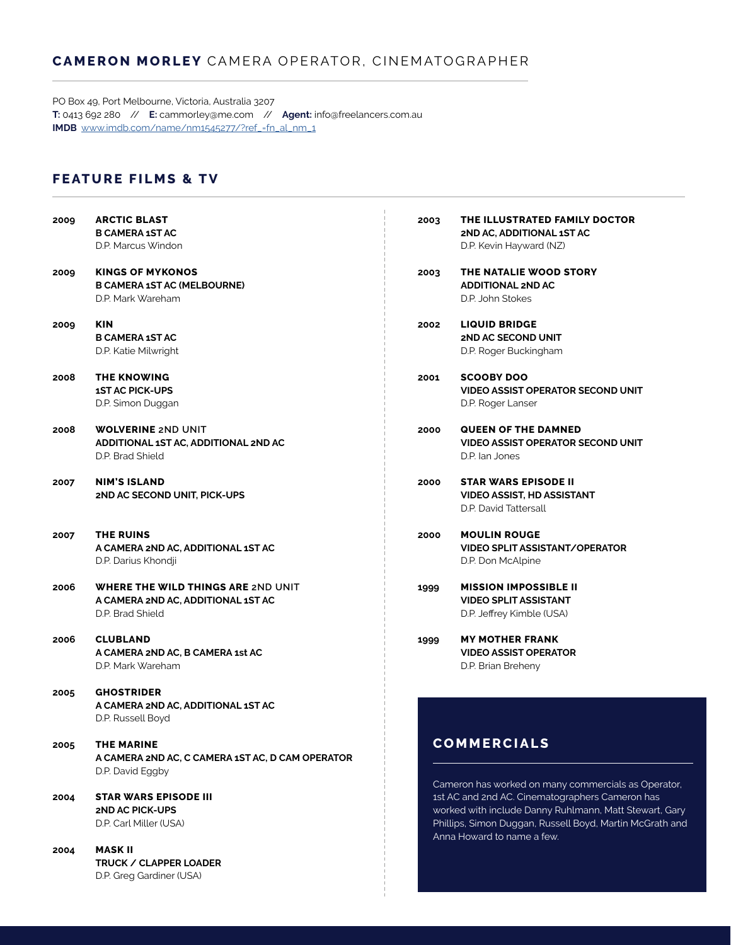#### **CAMERON MORLEY** CAMERA OPERATOR, CINEMATOGRAPHER

 $\frac{1}{4}$ 

PO Box 49, Port Melbourne, Victoria, Australia 3207 **T:** 0413 692 280 // **E:** cammorley@me.com // **Agent:** info@freelancers.com.au **IMDB** www.imdb.com/name/nm1545277/?ref\_=fn\_al\_nm\_1

#### **FEATURE FILMS & TV**

D.P. Greg Gardiner (USA)

| 2009 | <b>ARCTIC BLAST</b><br><b>B CAMERA 1ST AC</b><br>D.P. Marcus Windon                          | 2003 | THE ILLUSTRATED FAMILY I<br>2ND AC, ADDITIONAL 1ST AC<br>D.P. Kevin Hayward (NZ)                                                                     |
|------|----------------------------------------------------------------------------------------------|------|------------------------------------------------------------------------------------------------------------------------------------------------------|
| 2009 | <b>KINGS OF MYKONOS</b><br><b>B CAMERA 1ST AC (MELBOURNE)</b><br>D.P. Mark Wareham           | 2003 | THE NATALIE WOOD STORY<br><b>ADDITIONAL 2ND AC</b><br>D.P. John Stokes                                                                               |
| 2009 | <b>KIN</b><br><b>B CAMERA 1ST AC</b><br>D.P. Katie Milwright                                 | 2002 | <b>LIQUID BRIDGE</b><br><b>2ND AC SECOND UNIT</b><br>D.P. Roger Buckingham                                                                           |
| 2008 | <b>THE KNOWING</b><br><b>1ST AC PICK-UPS</b><br>D.P. Simon Duggan                            | 2001 | <b>SCOOBY DOO</b><br><b>VIDEO ASSIST OPERATOR SEC</b><br>D.P. Roger Lanser                                                                           |
| 2008 | <b>WOLVERINE 2ND UNIT</b><br>ADDITIONAL 1ST AC, ADDITIONAL 2ND AC<br>D.P. Brad Shield        | 2000 | <b>QUEEN OF THE DAMNED</b><br><b>VIDEO ASSIST OPERATOR SEC</b><br>D.P. lan Jones                                                                     |
| 2007 | <b>NIM'S ISLAND</b><br>2ND AC SECOND UNIT, PICK-UPS                                          | 2000 | <b>STAR WARS EPISODE II</b><br><b>VIDEO ASSIST, HD ASSISTANT</b><br>D.P. David Tattersall                                                            |
| 2007 | <b>THE RUINS</b><br>A CAMERA 2ND AC, ADDITIONAL 1ST AC<br>D.P. Darius Khondji                | 2000 | <b>MOULIN ROUGE</b><br><b>VIDEO SPLIT ASSISTANT/OPE</b><br>D.P. Don McAlpine                                                                         |
| 2006 | WHERE THE WILD THINGS ARE 2ND UNIT<br>A CAMERA 2ND AC, ADDITIONAL 1ST AC<br>D.P. Brad Shield | 1999 | <b>MISSION IMPOSSIBLE II</b><br><b>VIDEO SPLIT ASSISTANT</b><br>D.P. Jeffrey Kimble (USA)                                                            |
| 2006 | <b>CLUBLAND</b><br>A CAMERA 2ND AC, B CAMERA 1st AC<br>D.P. Mark Wareham                     | 1999 | <b>MY MOTHER FRANK</b><br><b>VIDEO ASSIST OPERATOR</b><br>D.P. Brian Breheny                                                                         |
| 2005 | <b>GHOSTRIDER</b><br>A CAMERA 2ND AC, ADDITIONAL 1ST AC<br>D.P. Russell Boyd                 |      |                                                                                                                                                      |
| 2005 | THE MARINE<br>A CAMERA 2ND AC, C CAMERA 1ST AC, D CAM OPERATOR<br>D.P. David Eggby           |      | <b>COMMERCIALS</b>                                                                                                                                   |
| 2004 | <b>STAR WARS EPISODE III</b><br><b>2ND AC PICK-UPS</b><br>D.P. Carl Miller (USA)             |      | Cameron has worked on many comm<br>1st AC and 2nd AC. Cinematographers<br>worked with include Danny Ruhlmanr<br>Phillips, Simon Duggan, Russell Boyd |
| 2004 | <b>MASK II</b><br>TRUCK / CLAPPER LOADER                                                     |      | Anna Howard to name a few.                                                                                                                           |

|    | D.P. Roger Lanser                                                                                                                                                                                                                                                                                                                                                                                          |
|----|------------------------------------------------------------------------------------------------------------------------------------------------------------------------------------------------------------------------------------------------------------------------------------------------------------------------------------------------------------------------------------------------------------|
| ĴО | <b>QUEEN OF THE DAMNED</b><br><b>VIDEO ASSIST OPERATOR SECOND UNIT</b><br>D.P. lan Jones                                                                                                                                                                                                                                                                                                                   |
| ĴО | <b>STAR WARS EPISODE II</b><br><b>VIDEO ASSIST, HD ASSISTANT</b><br>D.P. David Tattersall                                                                                                                                                                                                                                                                                                                  |
| ĴО | <b>MOULIN ROUGE</b><br><b>VIDEO SPLIT ASSISTANT/OPERATOR</b><br>D.P. Don McAlpine                                                                                                                                                                                                                                                                                                                          |
| 99 | <b>MISSION IMPOSSIBLE II</b><br><b>VIDEO SPLIT ASSISTANT</b><br>D.P. Jeffrey Kimble (USA)                                                                                                                                                                                                                                                                                                                  |
| 99 | <b>MY MOTHER FRANK</b><br><b>VIDEO ASSIST OPERATOR</b><br>D.P. Brian Breheny                                                                                                                                                                                                                                                                                                                               |
|    | <b>COMMERCIALS</b>                                                                                                                                                                                                                                                                                                                                                                                         |
|    | Cameron has worked on many commercials as Operator,<br>1st AC and 2nd AC. Cinematographers Cameron has<br>$\mathbf{A}$ and $\mathbf{A}$ and $\mathbf{A}$ and $\mathbf{A}$ and $\mathbf{A}$ and $\mathbf{A}$ and $\mathbf{A}$ and $\mathbf{A}$ and $\mathbf{A}$ and $\mathbf{A}$ and $\mathbf{A}$ and $\mathbf{A}$ and $\mathbf{A}$ and $\mathbf{A}$ and $\mathbf{A}$ and $\mathbf{A}$ and $\mathbf{A}$ and |

**THE ILLUSTRATED FAMILY DOCTOR**

**VIDEO ASSIST OPERATOR SECOND UNIT**

worked with include Danny Ruhlmann, Matt Stewart, Gary Phillips, Simon Duggan, Russell Boyd, Martin McGrath and Anna Howard to name a few.